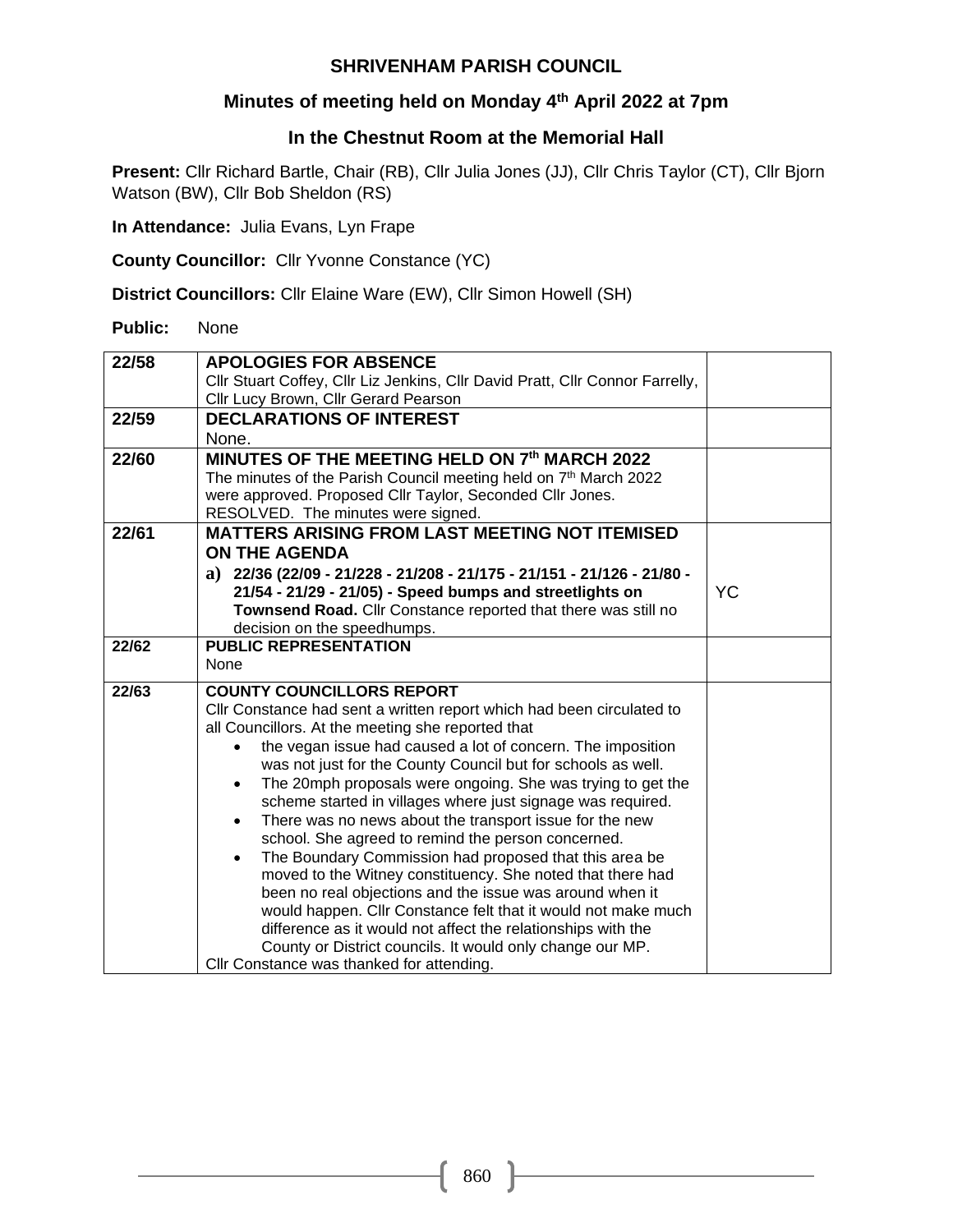### **Minutes of meeting held on Monday 4 th April 2022 at 7pm**

#### **In the Chestnut Room at the Memorial Hall**

**Present:** Cllr Richard Bartle, Chair (RB), Cllr Julia Jones (JJ), Cllr Chris Taylor (CT), Cllr Bjorn Watson (BW), Cllr Bob Sheldon (RS)

**In Attendance:** Julia Evans, Lyn Frape

**County Councillor:** Cllr Yvonne Constance (YC)

**District Councillors:** Cllr Elaine Ware (EW), Cllr Simon Howell (SH)

**Public:** None

| 22/58 | <b>APOLOGIES FOR ABSENCE</b>                                                  |           |
|-------|-------------------------------------------------------------------------------|-----------|
|       | Cllr Stuart Coffey, Cllr Liz Jenkins, Cllr David Pratt, Cllr Connor Farrelly, |           |
|       | Cllr Lucy Brown, Cllr Gerard Pearson                                          |           |
| 22/59 | <b>DECLARATIONS OF INTEREST</b>                                               |           |
|       | None.                                                                         |           |
| 22/60 | MINUTES OF THE MEETING HELD ON 7th MARCH 2022                                 |           |
|       | The minutes of the Parish Council meeting held on 7 <sup>th</sup> March 2022  |           |
|       | were approved. Proposed Cllr Taylor, Seconded Cllr Jones.                     |           |
|       | RESOLVED. The minutes were signed.                                            |           |
| 22/61 | <b>MATTERS ARISING FROM LAST MEETING NOT ITEMISED</b>                         |           |
|       | <b>ON THE AGENDA</b>                                                          |           |
|       | a) $22/36$ (22/09 - 21/228 - 21/208 - 21/175 - 21/151 - 21/126 - 21/80 -      |           |
|       | 21/54 - 21/29 - 21/05) - Speed bumps and streetlights on                      | <b>YC</b> |
|       | Townsend Road. Cllr Constance reported that there was still no                |           |
|       | decision on the speedhumps.                                                   |           |
| 22/62 | <b>PUBLIC REPRESENTATION</b>                                                  |           |
|       | None                                                                          |           |
| 22/63 | <b>COUNTY COUNCILLORS REPORT</b>                                              |           |
|       | Cllr Constance had sent a written report which had been circulated to         |           |
|       | all Councillors. At the meeting she reported that                             |           |
|       | the vegan issue had caused a lot of concern. The imposition                   |           |
|       | was not just for the County Council but for schools as well.                  |           |
|       | The 20mph proposals were ongoing. She was trying to get the<br>$\bullet$      |           |
|       | scheme started in villages where just signage was required.                   |           |
|       | There was no news about the transport issue for the new<br>$\bullet$          |           |
|       | school. She agreed to remind the person concerned.                            |           |
|       | The Boundary Commission had proposed that this area be                        |           |
|       | moved to the Witney constituency. She noted that there had                    |           |
|       | been no real objections and the issue was around when it                      |           |
|       | would happen. Cllr Constance felt that it would not make much                 |           |
|       | difference as it would not affect the relationships with the                  |           |
|       | County or District councils. It would only change our MP.                     |           |
|       | Cllr Constance was thanked for attending.                                     |           |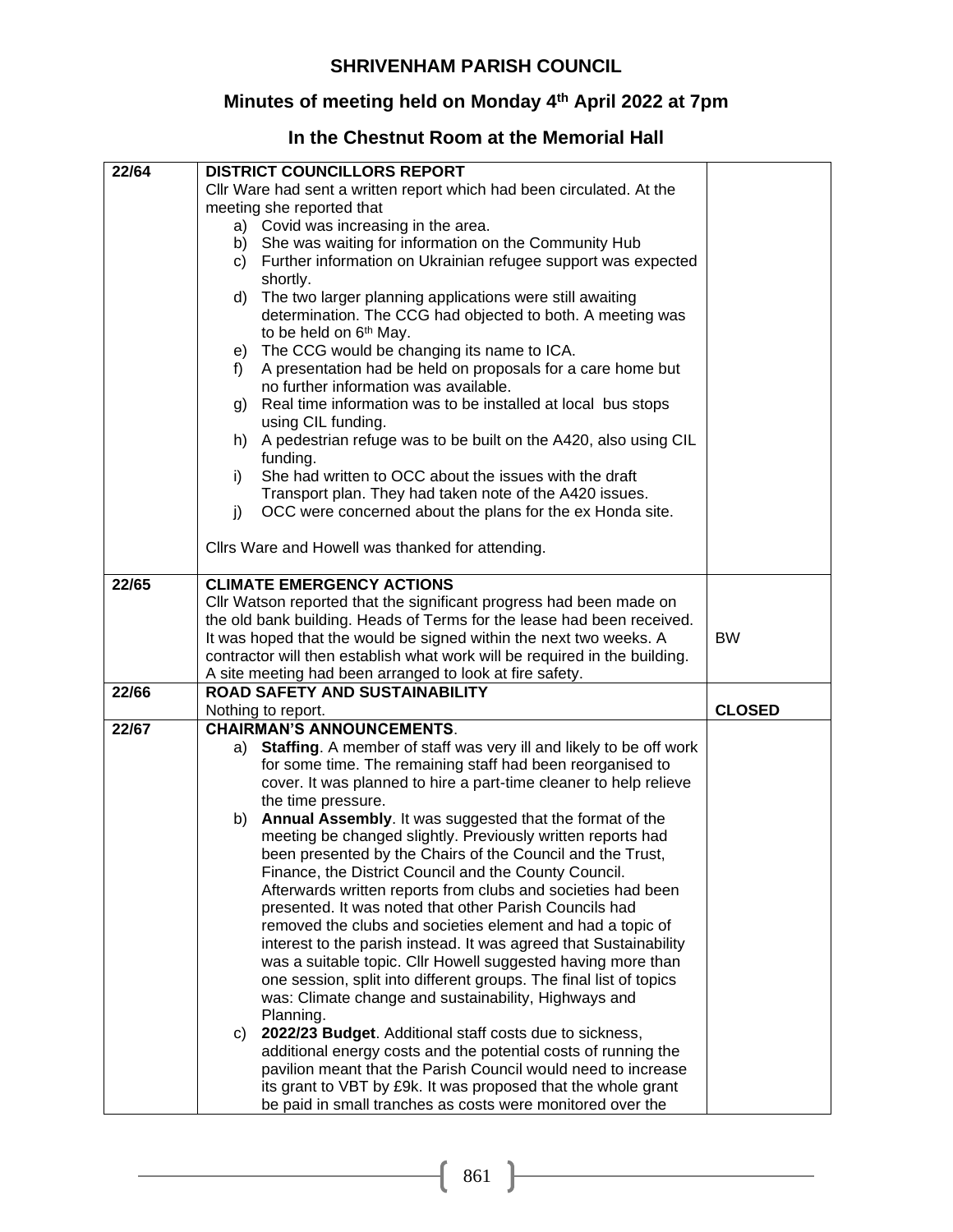### **Minutes of meeting held on Monday 4 th April 2022 at 7pm**

# **In the Chestnut Room at the Memorial Hall**

| 22/64 | <b>DISTRICT COUNCILLORS REPORT</b>                                             |               |
|-------|--------------------------------------------------------------------------------|---------------|
|       | Cllr Ware had sent a written report which had been circulated. At the          |               |
|       | meeting she reported that                                                      |               |
|       | a) Covid was increasing in the area.                                           |               |
|       | She was waiting for information on the Community Hub<br>b)                     |               |
|       | Further information on Ukrainian refugee support was expected<br>C)            |               |
|       | shortly.                                                                       |               |
|       | The two larger planning applications were still awaiting<br>d)                 |               |
|       | determination. The CCG had objected to both. A meeting was                     |               |
|       | to be held on 6 <sup>th</sup> May.                                             |               |
|       | The CCG would be changing its name to ICA.<br>e)                               |               |
|       | A presentation had be held on proposals for a care home but<br>t).             |               |
|       | no further information was available.                                          |               |
|       | Real time information was to be installed at local bus stops<br>g)             |               |
|       | using CIL funding.                                                             |               |
|       | A pedestrian refuge was to be built on the A420, also using CIL<br>h)          |               |
|       | funding.                                                                       |               |
|       | She had written to OCC about the issues with the draft<br>i)                   |               |
|       | Transport plan. They had taken note of the A420 issues.                        |               |
|       | OCC were concerned about the plans for the ex Honda site.<br>j)                |               |
|       |                                                                                |               |
|       | Clirs Ware and Howell was thanked for attending.                               |               |
|       |                                                                                |               |
| 22/65 | <b>CLIMATE EMERGENCY ACTIONS</b>                                               |               |
|       | Cllr Watson reported that the significant progress had been made on            |               |
|       | the old bank building. Heads of Terms for the lease had been received.         |               |
|       | It was hoped that the would be signed within the next two weeks. A             | <b>BW</b>     |
|       | contractor will then establish what work will be required in the building.     |               |
|       | A site meeting had been arranged to look at fire safety.                       |               |
| 22/66 | <b>ROAD SAFETY AND SUSTAINABILITY</b>                                          |               |
|       | Nothing to report.                                                             | <b>CLOSED</b> |
| 22/67 | <b>CHAIRMAN'S ANNOUNCEMENTS.</b>                                               |               |
|       | Staffing. A member of staff was very ill and likely to be off work<br>a)       |               |
|       | for some time. The remaining staff had been reorganised to                     |               |
|       | cover. It was planned to hire a part-time cleaner to help relieve              |               |
|       | the time pressure.<br>Annual Assembly. It was suggested that the format of the |               |
|       | b)<br>meeting be changed slightly. Previously written reports had              |               |
|       | been presented by the Chairs of the Council and the Trust,                     |               |
|       | Finance, the District Council and the County Council.                          |               |
|       | Afterwards written reports from clubs and societies had been                   |               |
|       | presented. It was noted that other Parish Councils had                         |               |
|       | removed the clubs and societies element and had a topic of                     |               |
|       | interest to the parish instead. It was agreed that Sustainability              |               |
|       | was a suitable topic. Cllr Howell suggested having more than                   |               |
|       | one session, split into different groups. The final list of topics             |               |
|       | was: Climate change and sustainability, Highways and                           |               |
|       | Planning.                                                                      |               |
|       | 2022/23 Budget. Additional staff costs due to sickness,<br>C)                  |               |
|       | additional energy costs and the potential costs of running the                 |               |
|       | pavilion meant that the Parish Council would need to increase                  |               |
|       | its grant to VBT by £9k. It was proposed that the whole grant                  |               |
|       | be paid in small tranches as costs were monitored over the                     |               |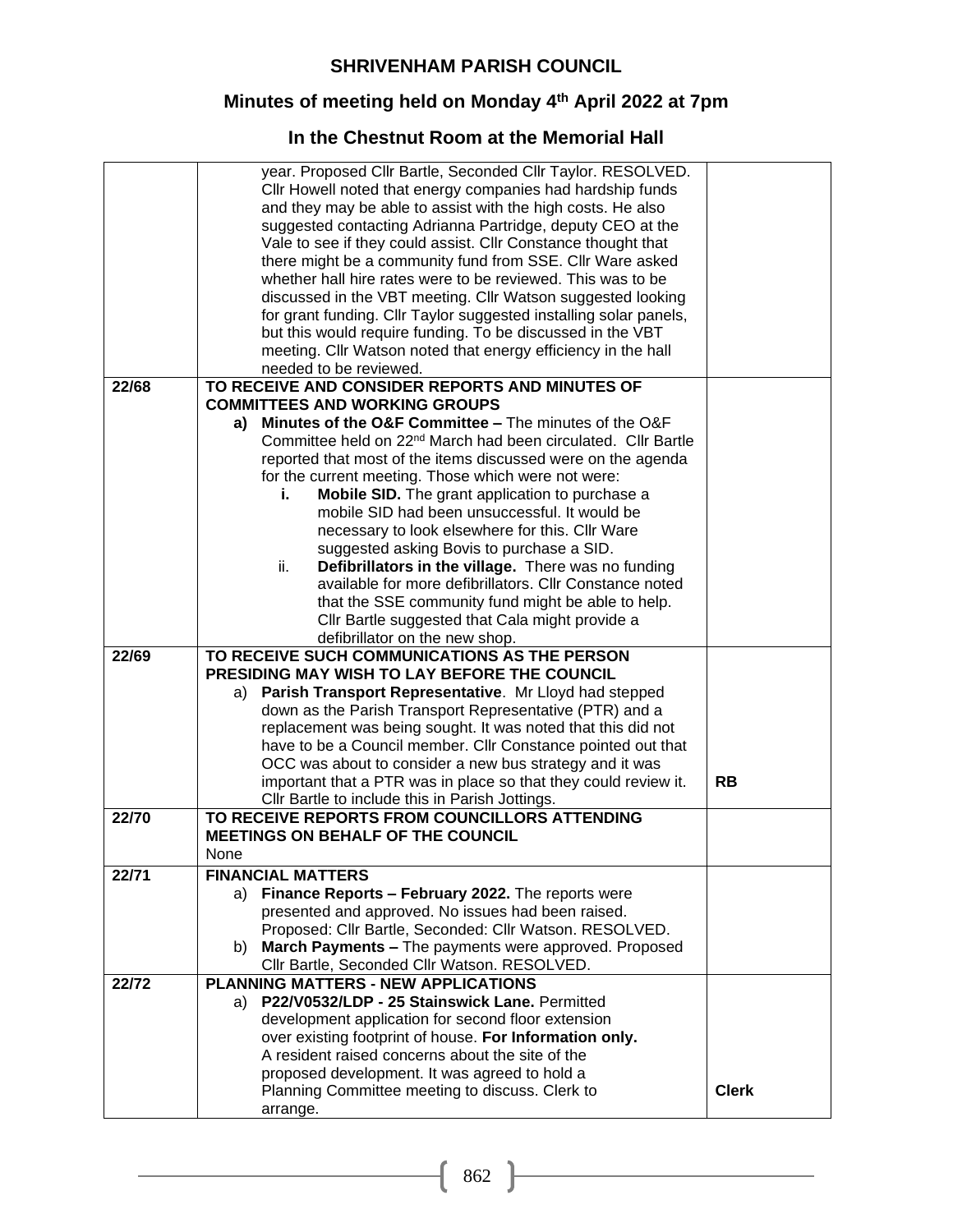### **Minutes of meeting held on Monday 4 th April 2022 at 7pm**

# **In the Chestnut Room at the Memorial Hall**

|       | suggested contacting Adrianna Partridge, deputy CEO at the                                                    |              |
|-------|---------------------------------------------------------------------------------------------------------------|--------------|
|       | Vale to see if they could assist. Cllr Constance thought that                                                 |              |
|       | there might be a community fund from SSE. Cllr Ware asked                                                     |              |
|       | whether hall hire rates were to be reviewed. This was to be                                                   |              |
|       | discussed in the VBT meeting. Cllr Watson suggested looking                                                   |              |
|       | for grant funding. Cllr Taylor suggested installing solar panels,                                             |              |
|       | but this would require funding. To be discussed in the VBT                                                    |              |
|       | meeting. Cllr Watson noted that energy efficiency in the hall                                                 |              |
|       | needed to be reviewed.                                                                                        |              |
| 22/68 | TO RECEIVE AND CONSIDER REPORTS AND MINUTES OF                                                                |              |
|       | <b>COMMITTEES AND WORKING GROUPS</b>                                                                          |              |
|       | a) Minutes of the O&F Committee - The minutes of the O&F                                                      |              |
|       | Committee held on 22 <sup>nd</sup> March had been circulated. Cllr Bartle                                     |              |
|       | reported that most of the items discussed were on the agenda                                                  |              |
|       | for the current meeting. Those which were not were:                                                           |              |
|       | Mobile SID. The grant application to purchase a<br>i.                                                         |              |
|       | mobile SID had been unsuccessful. It would be                                                                 |              |
|       | necessary to look elsewhere for this. Cllr Ware<br>suggested asking Bovis to purchase a SID.                  |              |
|       | Defibrillators in the village. There was no funding<br>ii.                                                    |              |
|       | available for more defibrillators. Cllr Constance noted                                                       |              |
|       | that the SSE community fund might be able to help.                                                            |              |
|       | Cllr Bartle suggested that Cala might provide a                                                               |              |
|       | defibrillator on the new shop.                                                                                |              |
| 22/69 | TO RECEIVE SUCH COMMUNICATIONS AS THE PERSON                                                                  |              |
|       | PRESIDING MAY WISH TO LAY BEFORE THE COUNCIL                                                                  |              |
|       |                                                                                                               |              |
|       | Parish Transport Representative. Mr Lloyd had stepped<br>a)                                                   |              |
|       | down as the Parish Transport Representative (PTR) and a                                                       |              |
|       | replacement was being sought. It was noted that this did not                                                  |              |
|       | have to be a Council member. Cllr Constance pointed out that                                                  |              |
|       | OCC was about to consider a new bus strategy and it was                                                       |              |
|       | important that a PTR was in place so that they could review it.                                               | <b>RB</b>    |
|       | Cllr Bartle to include this in Parish Jottings.                                                               |              |
| 22/70 | TO RECEIVE REPORTS FROM COUNCILLORS ATTENDING                                                                 |              |
|       | <b>MEETINGS ON BEHALF OF THE COUNCIL</b>                                                                      |              |
|       | None                                                                                                          |              |
| 22/71 | <b>FINANCIAL MATTERS</b>                                                                                      |              |
|       | Finance Reports - February 2022. The reports were<br>a)                                                       |              |
|       | presented and approved. No issues had been raised.                                                            |              |
|       | Proposed: Cllr Bartle, Seconded: Cllr Watson. RESOLVED.                                                       |              |
|       | March Payments - The payments were approved. Proposed<br>b)                                                   |              |
|       | Cllr Bartle, Seconded Cllr Watson. RESOLVED.                                                                  |              |
| 22/72 | PLANNING MATTERS - NEW APPLICATIONS                                                                           |              |
|       | P22/V0532/LDP - 25 Stainswick Lane. Permitted<br>a)                                                           |              |
|       | development application for second floor extension<br>over existing footprint of house. For Information only. |              |
|       | A resident raised concerns about the site of the                                                              |              |
|       | proposed development. It was agreed to hold a                                                                 |              |
|       | Planning Committee meeting to discuss. Clerk to                                                               | <b>Clerk</b> |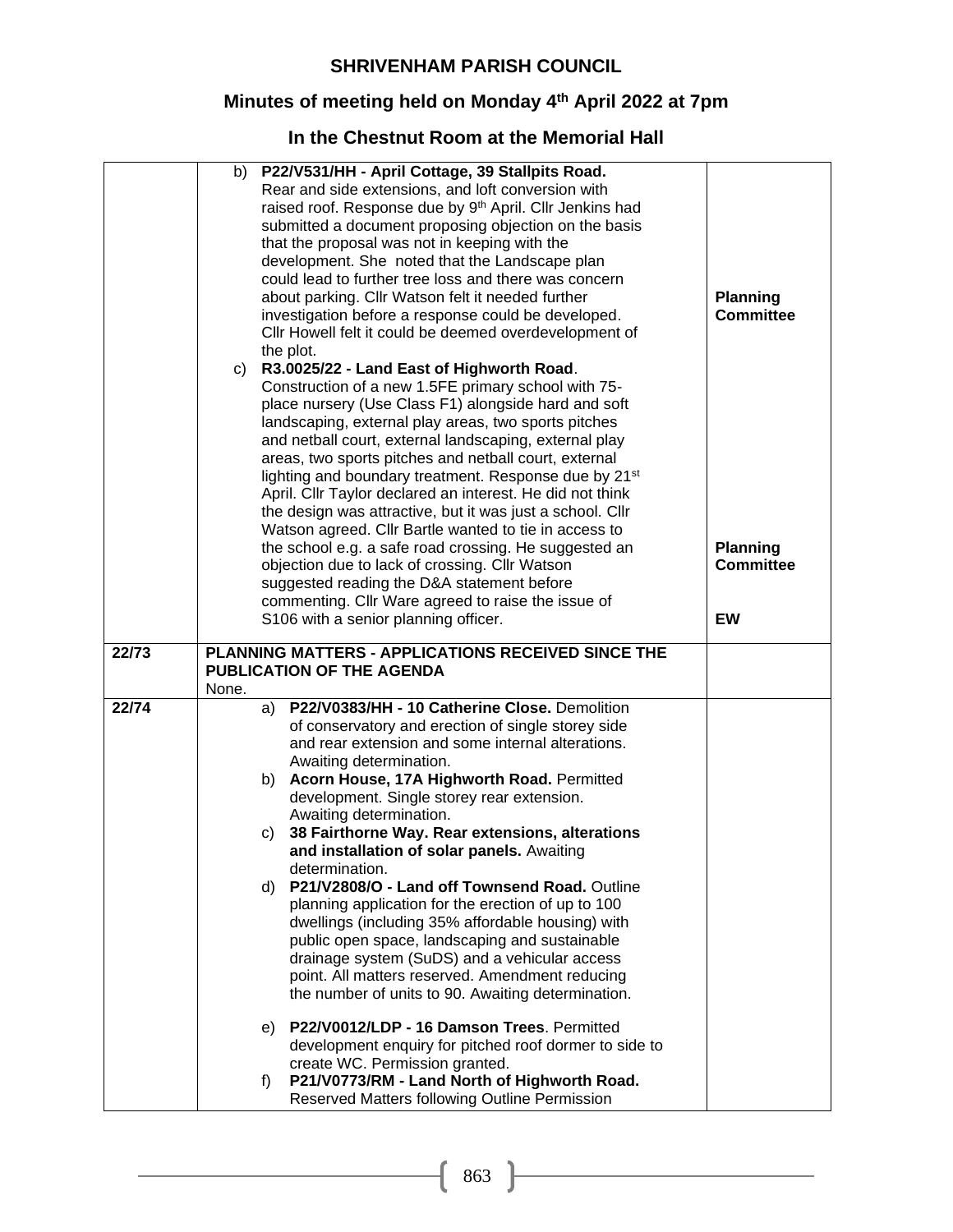### **Minutes of meeting held on Monday 4 th April 2022 at 7pm**

# **In the Chestnut Room at the Memorial Hall**

|       | P22/V531/HH - April Cottage, 39 Stallpits Road.<br>b)<br>Rear and side extensions, and loft conversion with<br>raised roof. Response due by 9th April. Cllr Jenkins had<br>submitted a document proposing objection on the basis<br>that the proposal was not in keeping with the<br>development. She noted that the Landscape plan<br>could lead to further tree loss and there was concern<br>about parking. Cllr Watson felt it needed further<br>investigation before a response could be developed.<br>Cllr Howell felt it could be deemed overdevelopment of<br>the plot.<br>R3.0025/22 - Land East of Highworth Road.<br>C)<br>Construction of a new 1.5FE primary school with 75-<br>place nursery (Use Class F1) alongside hard and soft<br>landscaping, external play areas, two sports pitches<br>and netball court, external landscaping, external play<br>areas, two sports pitches and netball court, external<br>lighting and boundary treatment. Response due by 21 <sup>st</sup><br>April. Cllr Taylor declared an interest. He did not think<br>the design was attractive, but it was just a school. Cllr<br>Watson agreed. Cllr Bartle wanted to tie in access to<br>the school e.g. a safe road crossing. He suggested an<br>objection due to lack of crossing. Cllr Watson<br>suggested reading the D&A statement before<br>commenting. Cllr Ware agreed to raise the issue of<br>S106 with a senior planning officer. | <b>Planning</b><br><b>Committee</b><br><b>Planning</b><br><b>Committee</b><br><b>EW</b> |
|-------|---------------------------------------------------------------------------------------------------------------------------------------------------------------------------------------------------------------------------------------------------------------------------------------------------------------------------------------------------------------------------------------------------------------------------------------------------------------------------------------------------------------------------------------------------------------------------------------------------------------------------------------------------------------------------------------------------------------------------------------------------------------------------------------------------------------------------------------------------------------------------------------------------------------------------------------------------------------------------------------------------------------------------------------------------------------------------------------------------------------------------------------------------------------------------------------------------------------------------------------------------------------------------------------------------------------------------------------------------------------------------------------------------------------------------------------------|-----------------------------------------------------------------------------------------|
| 22/73 | PLANNING MATTERS - APPLICATIONS RECEIVED SINCE THE<br><b>PUBLICATION OF THE AGENDA</b><br>None.                                                                                                                                                                                                                                                                                                                                                                                                                                                                                                                                                                                                                                                                                                                                                                                                                                                                                                                                                                                                                                                                                                                                                                                                                                                                                                                                             |                                                                                         |
| 22/74 | P22/V0383/HH - 10 Catherine Close. Demolition<br>a)<br>of conservatory and erection of single storey side<br>and rear extension and some internal alterations.<br>Awaiting determination.<br>b) Acorn House, 17A Highworth Road. Permitted<br>development. Single storey rear extension.<br>Awaiting determination.<br>38 Fairthorne Way. Rear extensions, alterations<br>C)<br>and installation of solar panels. Awaiting<br>determination.<br>P21/V2808/O - Land off Townsend Road. Outline<br>d)<br>planning application for the erection of up to 100<br>dwellings (including 35% affordable housing) with<br>public open space, landscaping and sustainable<br>drainage system (SuDS) and a vehicular access<br>point. All matters reserved. Amendment reducing<br>the number of units to 90. Awaiting determination.<br>e) P22/V0012/LDP - 16 Damson Trees. Permitted<br>development enquiry for pitched roof dormer to side to<br>create WC. Permission granted.<br>P21/V0773/RM - Land North of Highworth Road.<br>f)<br>Reserved Matters following Outline Permission                                                                                                                                                                                                                                                                                                                                                              |                                                                                         |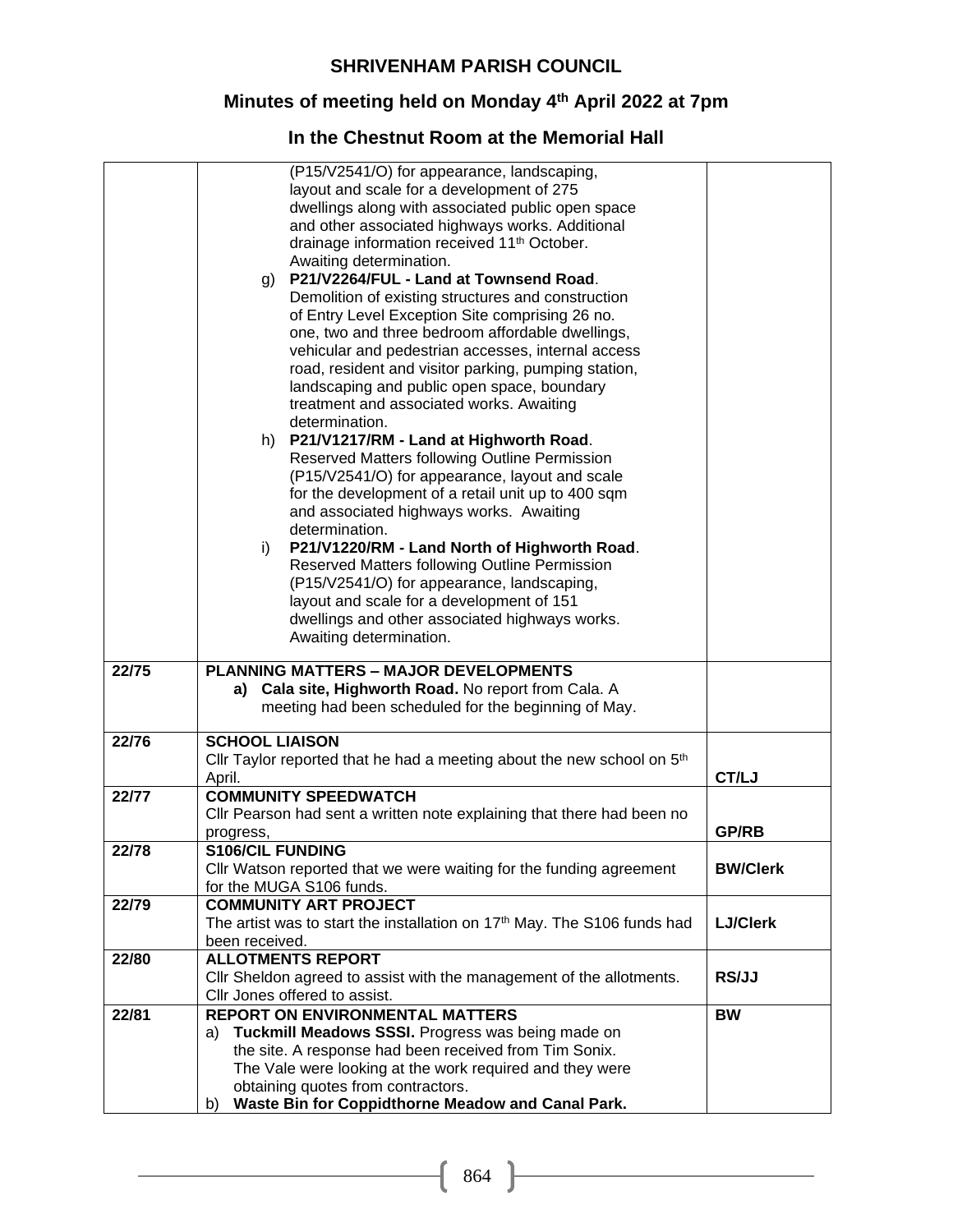### **Minutes of meeting held on Monday 4 th April 2022 at 7pm**

# **In the Chestnut Room at the Memorial Hall**

|       | (P15/V2541/O) for appearance, landscaping,                                           |                 |
|-------|--------------------------------------------------------------------------------------|-----------------|
|       | layout and scale for a development of 275                                            |                 |
|       | dwellings along with associated public open space                                    |                 |
|       | and other associated highways works. Additional                                      |                 |
|       | drainage information received 11 <sup>th</sup> October.                              |                 |
|       | Awaiting determination.                                                              |                 |
|       | g) P21/V2264/FUL - Land at Townsend Road.                                            |                 |
|       | Demolition of existing structures and construction                                   |                 |
|       | of Entry Level Exception Site comprising 26 no.                                      |                 |
|       | one, two and three bedroom affordable dwellings,                                     |                 |
|       | vehicular and pedestrian accesses, internal access                                   |                 |
|       | road, resident and visitor parking, pumping station,                                 |                 |
|       | landscaping and public open space, boundary                                          |                 |
|       | treatment and associated works. Awaiting                                             |                 |
|       | determination.                                                                       |                 |
|       |                                                                                      |                 |
|       | h) P21/V1217/RM - Land at Highworth Road.                                            |                 |
|       | Reserved Matters following Outline Permission                                        |                 |
|       | (P15/V2541/O) for appearance, layout and scale                                       |                 |
|       | for the development of a retail unit up to 400 sqm                                   |                 |
|       | and associated highways works. Awaiting                                              |                 |
|       | determination.                                                                       |                 |
|       | P21/V1220/RM - Land North of Highworth Road.<br>i)                                   |                 |
|       | Reserved Matters following Outline Permission                                        |                 |
|       | (P15/V2541/O) for appearance, landscaping,                                           |                 |
|       | layout and scale for a development of 151                                            |                 |
|       | dwellings and other associated highways works.                                       |                 |
|       | Awaiting determination.                                                              |                 |
| 22/75 | <b>PLANNING MATTERS - MAJOR DEVELOPMENTS</b>                                         |                 |
|       | Cala site, Highworth Road. No report from Cala. A<br>a)                              |                 |
|       | meeting had been scheduled for the beginning of May.                                 |                 |
|       |                                                                                      |                 |
| 22/76 | <b>SCHOOL LIAISON</b>                                                                |                 |
|       | Cllr Taylor reported that he had a meeting about the new school on 5 <sup>th</sup>   |                 |
|       | April.                                                                               | CT/LJ           |
| 22/77 | <b>COMMUNITY SPEEDWATCH</b>                                                          |                 |
|       | CIIr Pearson had sent a written note explaining that there had been no               |                 |
|       | progress,                                                                            | <b>GP/RB</b>    |
| 22/78 | <b>S106/CIL FUNDING</b>                                                              |                 |
|       | Cllr Watson reported that we were waiting for the funding agreement                  | <b>BW/Clerk</b> |
|       | for the MUGA S106 funds.                                                             |                 |
| 22/79 | <b>COMMUNITY ART PROJECT</b>                                                         |                 |
|       | The artist was to start the installation on 17 <sup>th</sup> May. The S106 funds had | <b>LJ/Clerk</b> |
|       | been received.                                                                       |                 |
| 22/80 | <b>ALLOTMENTS REPORT</b>                                                             |                 |
|       | Cllr Sheldon agreed to assist with the management of the allotments.                 | RS/JJ           |
|       | Cllr Jones offered to assist.                                                        |                 |
| 22/81 | <b>REPORT ON ENVIRONMENTAL MATTERS</b>                                               | <b>BW</b>       |
|       | a) Tuckmill Meadows SSSI. Progress was being made on                                 |                 |
|       | the site. A response had been received from Tim Sonix.                               |                 |
|       | The Vale were looking at the work required and they were                             |                 |
|       | obtaining quotes from contractors.                                                   |                 |
|       | Waste Bin for Coppidthorne Meadow and Canal Park.<br>b)                              |                 |